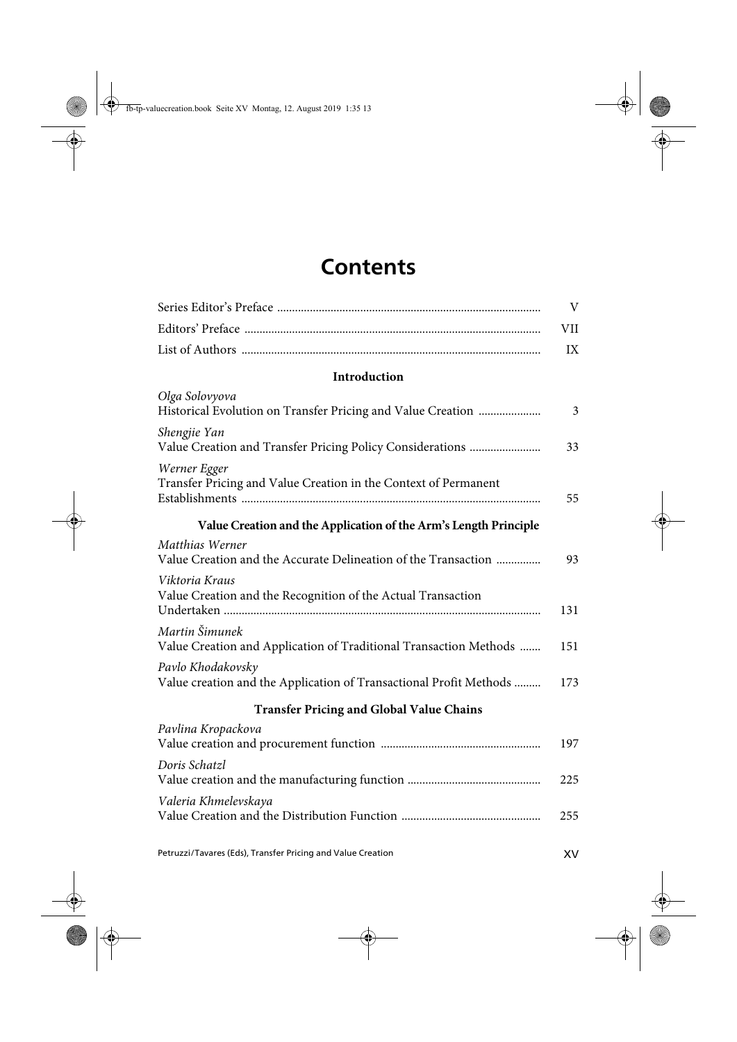## **Contents**

|                                                                                         | $\rm V$ |
|-----------------------------------------------------------------------------------------|---------|
|                                                                                         | VII     |
|                                                                                         | IX      |
| Introduction                                                                            |         |
| Olga Solovyova<br>Historical Evolution on Transfer Pricing and Value Creation           | 3       |
| Shengjie Yan<br>Value Creation and Transfer Pricing Policy Considerations               | 33      |
| Werner Egger<br>Transfer Pricing and Value Creation in the Context of Permanent         | 55      |
| Value Creation and the Application of the Arm's Length Principle                        |         |
| Matthias Werner<br>Value Creation and the Accurate Delineation of the Transaction       | 93      |
| Viktoria Kraus<br>Value Creation and the Recognition of the Actual Transaction          | 131     |
| Martin Šimunek<br>Value Creation and Application of Traditional Transaction Methods     | 151     |
| Pavlo Khodakovsky<br>Value creation and the Application of Transactional Profit Methods | 173     |
| <b>Transfer Pricing and Global Value Chains</b>                                         |         |
| Pavlina Kropackova                                                                      | 197     |
| Doris Schatzl                                                                           | 225     |
| Valeria Khmelevskaya                                                                    | 255     |
|                                                                                         |         |